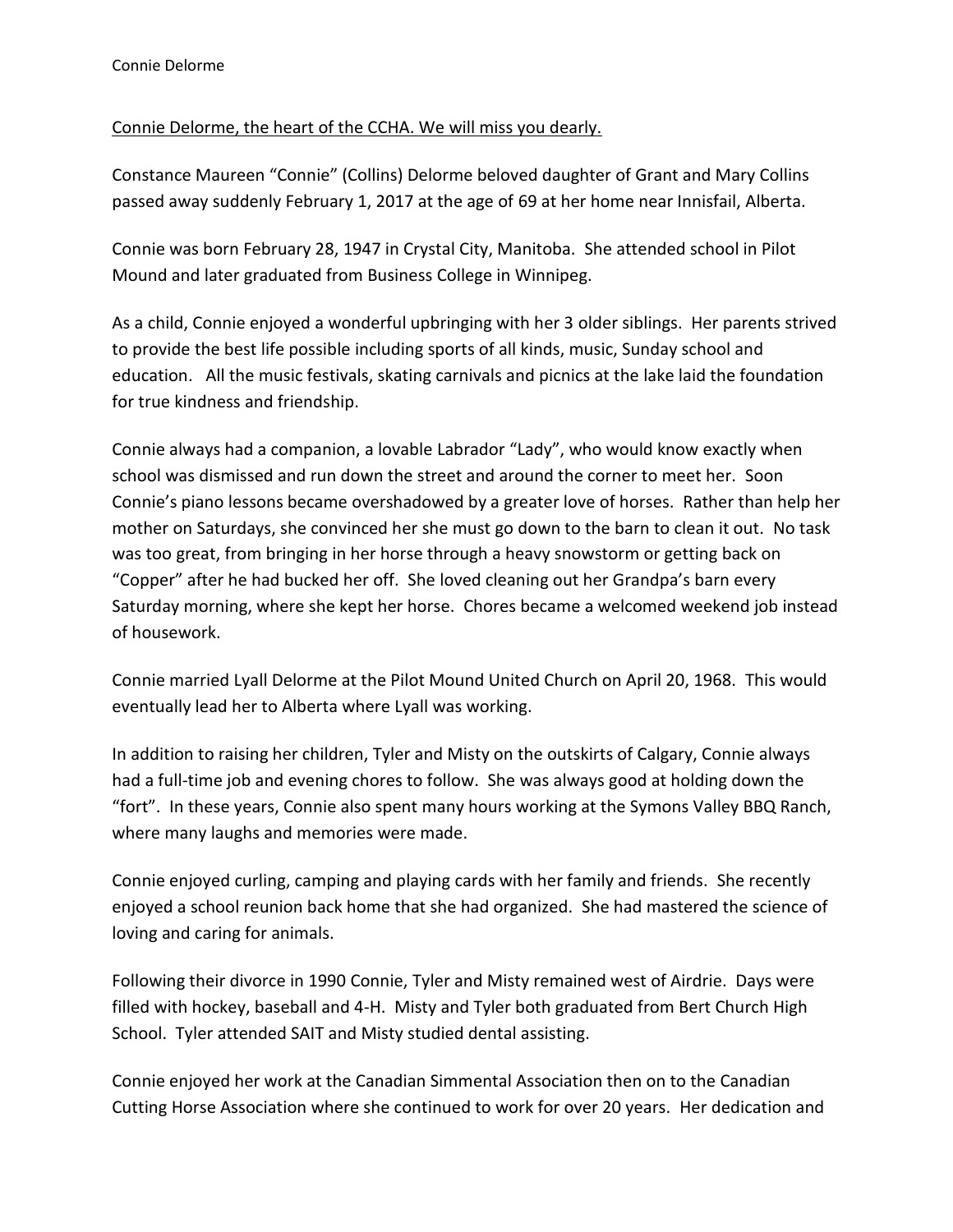## Connie Delorme, the heart of the CCHA. We will miss you dearly.

Constance Maureen "Connie" (Collins) Delorme beloved daughter of Grant and Mary Collins passed away suddenly February 1, 2017 at the age of 69 at her home near Innisfail, Alberta.

Connie was born February 28, 1947 in Crystal City, Manitoba. She attended school in Pilot Mound and later graduated from Business College in Winnipeg.

As a child, Connie enjoyed a wonderful upbringing with her 3 older siblings. Her parents strived to provide the best life possible including sports of all kinds, music, Sunday school and education. All the music festivals, skating carnivals and picnics at the lake laid the foundation for true kindness and friendship.

Connie always had a companion, a lovable Labrador "Lady", who would know exactly when school was dismissed and run down the street and around the corner to meet her. Soon Connie's piano lessons became overshadowed by a greater love of horses. Rather than help her mother on Saturdays, she convinced her she must go down to the barn to clean it out. No task was too great, from bringing in her horse through a heavy snowstorm or getting back on "Copper" after he had bucked her off. She loved cleaning out her Grandpa's barn every Saturday morning, where she kept her horse. Chores became a welcomed weekend job instead of housework.

Connie married Lyall Delorme at the Pilot Mound United Church on April 20, 1968. This would eventually lead her to Alberta where Lyall was working.

In addition to raising her children, Tyler and Misty on the outskirts of Calgary, Connie always had a full-time job and evening chores to follow. She was always good at holding down the "fort". In these years, Connie also spent many hours working at the Symons Valley BBQ Ranch, where many laughs and memories were made.

Connie enjoyed curling, camping and playing cards with her family and friends. She recently enjoyed a school reunion back home that she had organized. She had mastered the science of loving and caring for animals.

Following their divorce in 1990 Connie, Tyler and Misty remained west of Airdrie. Days were filled with hockey, baseball and 4-H. Misty and Tyler both graduated from Bert Church High School. Tyler attended SAIT and Misty studied dental assisting.

Connie enjoyed her work at the Canadian Simmental Association then on to the Canadian Cutting Horse Association where she continued to work for over 20 years. Her dedication and